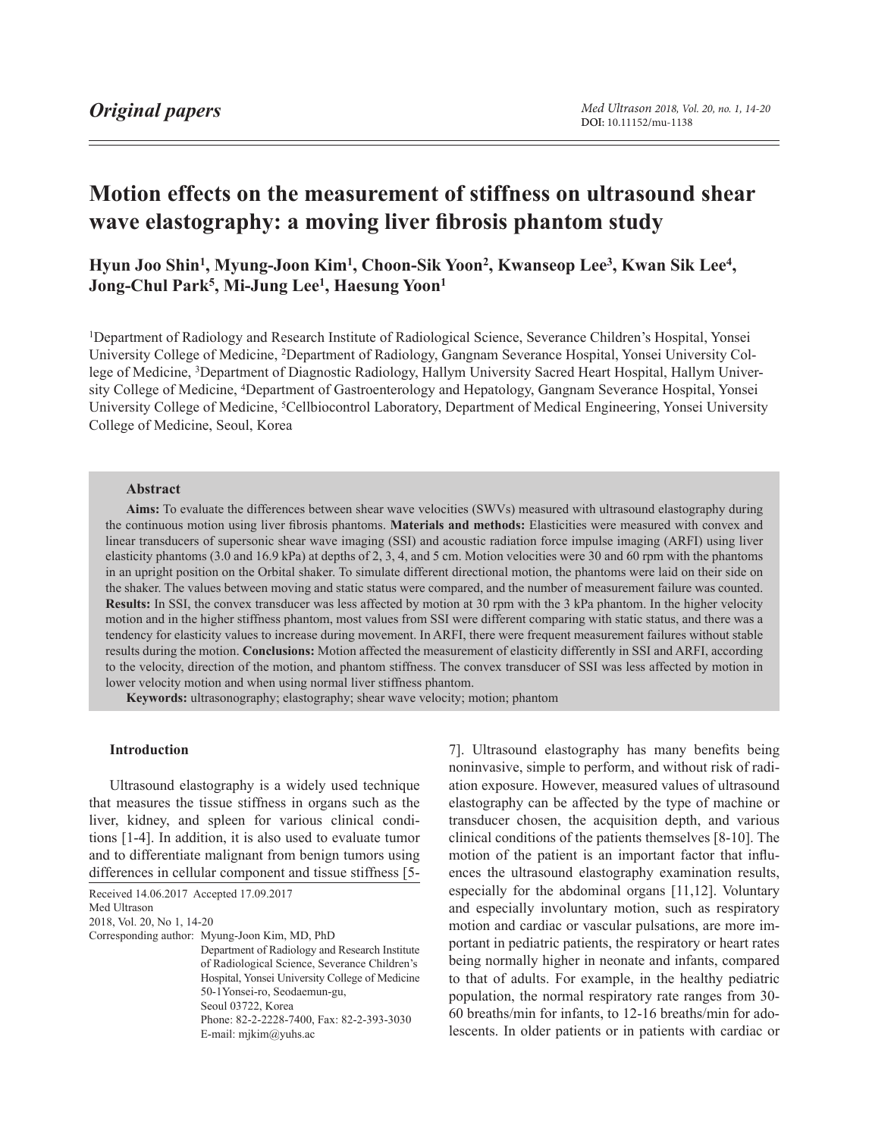# **Motion effects on the measurement of stiffness on ultrasound shear wave elastography: a moving liver fibrosis phantom study**

**Hyun Joo Shin1, Myung-Joon Kim1, Choon-Sik Yoon2, Kwanseop Lee3, Kwan Sik Lee4, Jong-Chul Park5, Mi-Jung Lee1, Haesung Yoon1**

1Department of Radiology and Research Institute of Radiological Science, Severance Children's Hospital, Yonsei University College of Medicine, 2Department of Radiology, Gangnam Severance Hospital, Yonsei University College of Medicine, 3Department of Diagnostic Radiology, Hallym University Sacred Heart Hospital, Hallym University College of Medicine, 4Department of Gastroenterology and Hepatology, Gangnam Severance Hospital, Yonsei University College of Medicine, 5Cellbiocontrol Laboratory, Department of Medical Engineering, Yonsei University College of Medicine, Seoul, Korea

#### **Abstract**

**Aims:** To evaluate the differences between shear wave velocities (SWVs) measured with ultrasound elastography during the continuous motion using liver fibrosis phantoms. **Materials and methods:** Elasticities were measured with convex and linear transducers of supersonic shear wave imaging (SSI) and acoustic radiation force impulse imaging (ARFI) using liver elasticity phantoms (3.0 and 16.9 kPa) at depths of 2, 3, 4, and 5 cm. Motion velocities were 30 and 60 rpm with the phantoms in an upright position on the Orbital shaker. To simulate different directional motion, the phantoms were laid on their side on the shaker. The values between moving and static status were compared, and the number of measurement failure was counted. **Results:** In SSI, the convex transducer was less affected by motion at 30 rpm with the 3 kPa phantom. In the higher velocity motion and in the higher stiffness phantom, most values from SSI were different comparing with static status, and there was a tendency for elasticity values to increase during movement. In ARFI, there were frequent measurement failures without stable results during the motion. **Conclusions:** Motion affected the measurement of elasticity differently in SSI and ARFI, according to the velocity, direction of the motion, and phantom stiffness. The convex transducer of SSI was less affected by motion in lower velocity motion and when using normal liver stiffness phantom.

**Keywords:** ultrasonography; elastography; shear wave velocity; motion; phantom

## **Introduction**

Ultrasound elastography is a widely used technique that measures the tissue stiffness in organs such as the liver, kidney, and spleen for various clinical conditions [1-4]. In addition, it is also used to evaluate tumor and to differentiate malignant from benign tumors using differences in cellular component and tissue stiffness [5-

Received 14.06.2017 Accepted 17.09.2017

Med Ultrason

2018, Vol. 20, No 1, 14-20

Corresponding author: Myung-Joon Kim, MD, PhD

Department of Radiology and Research Institute of Radiological Science, Severance Children's Hospital, Yonsei University College of Medicine 50-1Yonsei-ro, Seodaemun-gu, Seoul 03722, Korea Phone: 82-2-2228-7400, Fax: 82-2-393-3030

E-mail: mjkim@yuhs.ac

7]. Ultrasound elastography has many benefits being noninvasive, simple to perform, and without risk of radiation exposure. However, measured values of ultrasound elastography can be affected by the type of machine or transducer chosen, the acquisition depth, and various clinical conditions of the patients themselves [8-10]. The motion of the patient is an important factor that influences the ultrasound elastography examination results, especially for the abdominal organs [11,12]. Voluntary and especially involuntary motion, such as respiratory motion and cardiac or vascular pulsations, are more important in pediatric patients, the respiratory or heart rates being normally higher in neonate and infants, compared to that of adults. For example, in the healthy pediatric population, the normal respiratory rate ranges from 30- 60 breaths/min for infants, to 12-16 breaths/min for adolescents. In older patients or in patients with cardiac or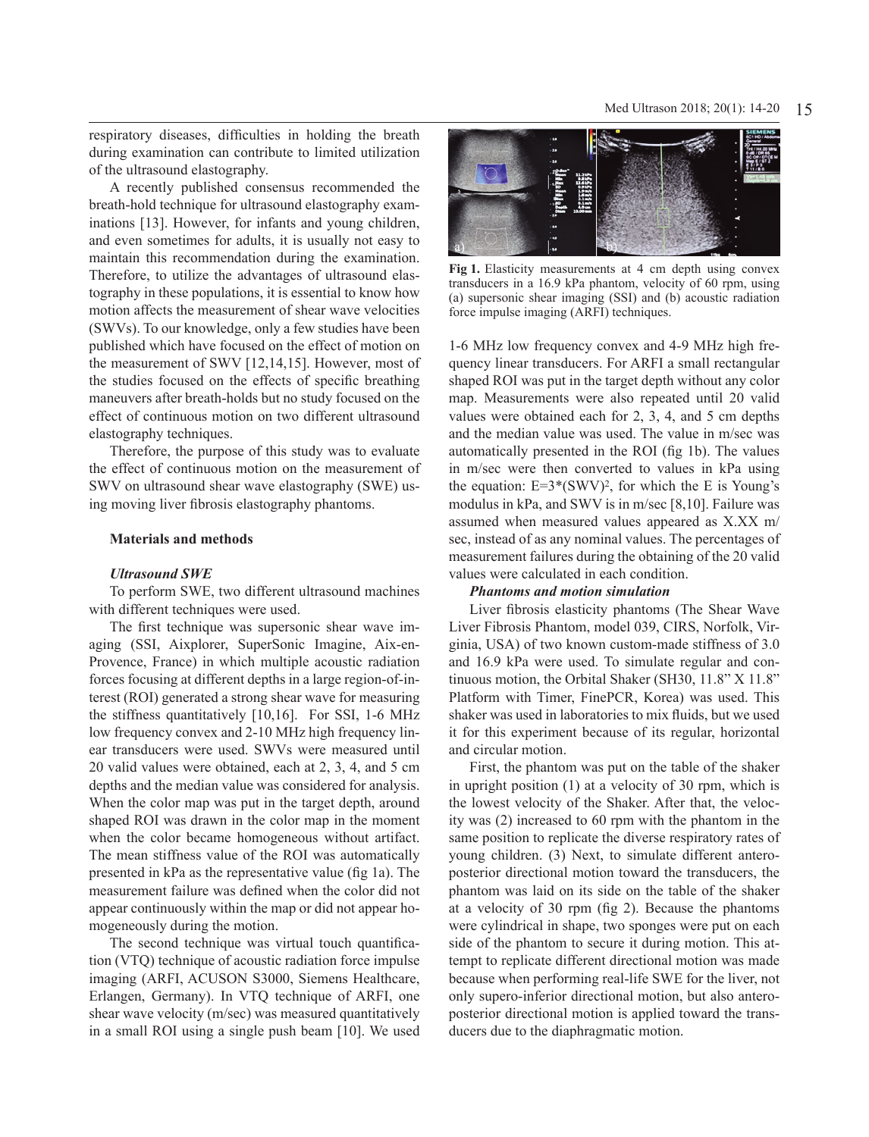respiratory diseases, difficulties in holding the breath during examination can contribute to limited utilization of the ultrasound elastography.

A recently published consensus recommended the breath-hold technique for ultrasound elastography examinations [13]. However, for infants and young children, and even sometimes for adults, it is usually not easy to maintain this recommendation during the examination. Therefore, to utilize the advantages of ultrasound elastography in these populations, it is essential to know how motion affects the measurement of shear wave velocities (SWVs). To our knowledge, only a few studies have been published which have focused on the effect of motion on the measurement of SWV [12,14,15]. However, most of the studies focused on the effects of specific breathing maneuvers after breath-holds but no study focused on the effect of continuous motion on two different ultrasound elastography techniques.

Therefore, the purpose of this study was to evaluate the effect of continuous motion on the measurement of SWV on ultrasound shear wave elastography (SWE) using moving liver fibrosis elastography phantoms.

#### **Materials and methods**

#### *Ultrasound SWE*

To perform SWE, two different ultrasound machines with different techniques were used.

The first technique was supersonic shear wave imaging (SSI, Aixplorer, SuperSonic Imagine, Aix-en-Provence, France) in which multiple acoustic radiation forces focusing at different depths in a large region-of-interest (ROI) generated a strong shear wave for measuring the stiffness quantitatively [10,16]. For SSI, 1-6 MHz low frequency convex and 2-10 MHz high frequency linear transducers were used. SWVs were measured until 20 valid values were obtained, each at 2, 3, 4, and 5 cm depths and the median value was considered for analysis. When the color map was put in the target depth, around shaped ROI was drawn in the color map in the moment when the color became homogeneous without artifact. The mean stiffness value of the ROI was automatically presented in kPa as the representative value (fig 1a). The measurement failure was defined when the color did not appear continuously within the map or did not appear homogeneously during the motion.

The second technique was virtual touch quantification (VTQ) technique of acoustic radiation force impulse imaging (ARFI, ACUSON S3000, Siemens Healthcare, Erlangen, Germany). In VTQ technique of ARFI, one shear wave velocity (m/sec) was measured quantitatively in a small ROI using a single push beam [10]. We used



**Fig 1.** Elasticity measurements at 4 cm depth using convex transducers in a 16.9 kPa phantom, velocity of 60 rpm, using (a) supersonic shear imaging (SSI) and (b) acoustic radiation force impulse imaging (ARFI) techniques.

1-6 MHz low frequency convex and 4-9 MHz high frequency linear transducers. For ARFI a small rectangular shaped ROI was put in the target depth without any color map. Measurements were also repeated until 20 valid values were obtained each for 2, 3, 4, and 5 cm depths and the median value was used. The value in m/sec was automatically presented in the ROI (fig 1b). The values in m/sec were then converted to values in kPa using the equation:  $E=3*(SWV)^2$ , for which the E is Young's modulus in kPa, and SWV is in m/sec [8,10]. Failure was assumed when measured values appeared as X.XX m/ sec, instead of as any nominal values. The percentages of measurement failures during the obtaining of the 20 valid values were calculated in each condition.

# *Phantoms and motion simulation*

Liver fibrosis elasticity phantoms (The Shear Wave Liver Fibrosis Phantom, model 039, CIRS, Norfolk, Virginia, USA) of two known custom-made stiffness of 3.0 and 16.9 kPa were used. To simulate regular and continuous motion, the Orbital Shaker (SH30, 11.8" X 11.8" Platform with Timer, FinePCR, Korea) was used. This shaker was used in laboratories to mix fluids, but we used it for this experiment because of its regular, horizontal and circular motion.

First, the phantom was put on the table of the shaker in upright position (1) at a velocity of 30 rpm, which is the lowest velocity of the Shaker. After that, the velocity was (2) increased to 60 rpm with the phantom in the same position to replicate the diverse respiratory rates of young children. (3) Next, to simulate different anteroposterior directional motion toward the transducers, the phantom was laid on its side on the table of the shaker at a velocity of 30 rpm (fig 2). Because the phantoms were cylindrical in shape, two sponges were put on each side of the phantom to secure it during motion. This attempt to replicate different directional motion was made because when performing real-life SWE for the liver, not only supero-inferior directional motion, but also anteroposterior directional motion is applied toward the transducers due to the diaphragmatic motion.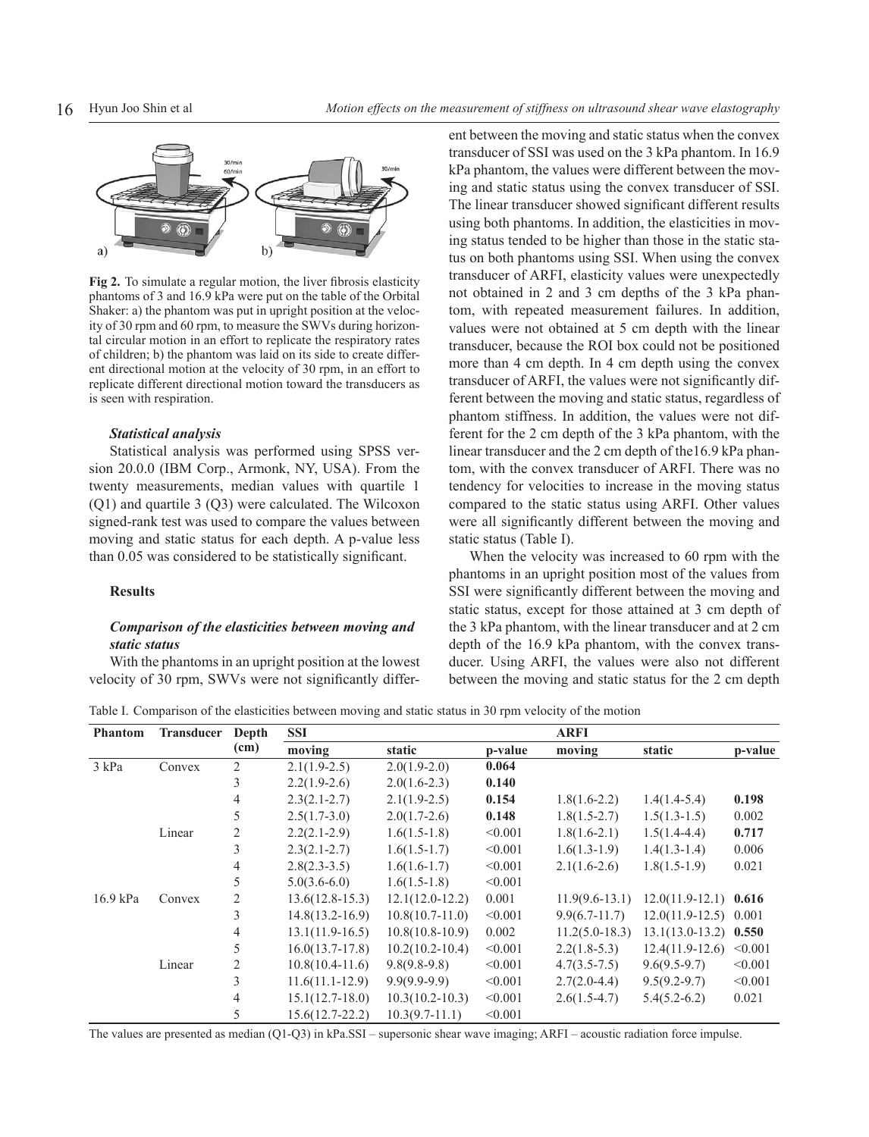

**Fig 2.** To simulate a regular motion, the liver fibrosis elasticity phantoms of 3 and 16.9 kPa were put on the table of the Orbital Shaker: a) the phantom was put in upright position at the velocity of 30 rpm and 60 rpm, to measure the SWVs during horizontal circular motion in an effort to replicate the respiratory rates of children; b) the phantom was laid on its side to create different directional motion at the velocity of 30 rpm, in an effort to replicate different directional motion toward the transducers as is seen with respiration.

#### *Statistical analysis*

Statistical analysis was performed using SPSS version 20.0.0 (IBM Corp., Armonk, NY, USA). From the twenty measurements, median values with quartile 1 (Q1) and quartile 3 (Q3) were calculated. The Wilcoxon signed-rank test was used to compare the values between moving and static status for each depth. A p-value less than 0.05 was considered to be statistically significant.

#### **Results**

# *Comparison of the elasticities between moving and static status*

With the phantoms in an upright position at the lowest velocity of 30 rpm, SWVs were not significantly different between the moving and static status when the convex transducer of SSI was used on the 3 kPa phantom. In 16.9 kPa phantom, the values were different between the moving and static status using the convex transducer of SSI. The linear transducer showed significant different results using both phantoms. In addition, the elasticities in moving status tended to be higher than those in the static status on both phantoms using SSI. When using the convex transducer of ARFI, elasticity values were unexpectedly not obtained in 2 and 3 cm depths of the 3 kPa phantom, with repeated measurement failures. In addition, values were not obtained at 5 cm depth with the linear transducer, because the ROI box could not be positioned more than 4 cm depth. In 4 cm depth using the convex transducer of ARFI, the values were not significantly different between the moving and static status, regardless of phantom stiffness. In addition, the values were not different for the 2 cm depth of the 3 kPa phantom, with the linear transducer and the 2 cm depth of the16.9 kPa phantom, with the convex transducer of ARFI. There was no tendency for velocities to increase in the moving status compared to the static status using ARFI. Other values were all significantly different between the moving and static status (Table I).

When the velocity was increased to 60 rpm with the phantoms in an upright position most of the values from SSI were significantly different between the moving and static status, except for those attained at 3 cm depth of the 3 kPa phantom, with the linear transducer and at 2 cm depth of the 16.9 kPa phantom, with the convex transducer. Using ARFI, the values were also not different between the moving and static status for the 2 cm depth

Table I. Comparison of the elasticities between moving and static status in 30 rpm velocity of the motion

| <b>Phantom</b> | <b>Transducer</b> | Depth<br>(cm)  | <b>SSI</b>          |                     |         | <b>ARFI</b>        |                         |         |
|----------------|-------------------|----------------|---------------------|---------------------|---------|--------------------|-------------------------|---------|
|                |                   |                | moving              | static              | p-value | moving             | static                  | p-value |
| $3$ kPa        | Convex            | 2              | $2.1(1.9-2.5)$      | $2.0(1.9-2.0)$      | 0.064   |                    |                         |         |
|                |                   | 3              | $2.2(1.9-2.6)$      | $2.0(1.6-2.3)$      | 0.140   |                    |                         |         |
|                |                   | 4              | $2.3(2.1 - 2.7)$    | $2.1(1.9-2.5)$      | 0.154   | $1.8(1.6-2.2)$     | $1.4(1.4-5.4)$          | 0.198   |
|                |                   | 5              | $2.5(1.7-3.0)$      | $2.0(1.7-2.6)$      | 0.148   | $1.8(1.5-2.7)$     | $1.5(1.3-1.5)$          | 0.002   |
|                | Linear            | $\overline{2}$ | $2.2(2.1-2.9)$      | $1.6(1.5-1.8)$      | < 0.001 | $1.8(1.6-2.1)$     | $1.5(1.4-4.4)$          | 0.717   |
|                |                   | 3              | $2.3(2.1 - 2.7)$    | $1.6(1.5-1.7)$      | < 0.001 | $1.6(1.3-1.9)$     | $1.4(1.3-1.4)$          | 0.006   |
|                |                   | $\overline{4}$ | $2.8(2.3-3.5)$      | $1.6(1.6-1.7)$      | < 0.001 | $2.1(1.6-2.6)$     | $1.8(1.5-1.9)$          | 0.021   |
|                |                   | 5              | $5.0(3.6-6.0)$      | $1.6(1.5-1.8)$      | < 0.001 |                    |                         |         |
| 16.9 kPa       | Convex            | 2              | $13.6(12.8-15.3)$   | $12.1(12.0-12.2)$   | 0.001   | $11.9(9.6 - 13.1)$ | $12.0(11.9-12.1)$ 0.616 |         |
|                |                   | 3              | $14.8(13.2 - 16.9)$ | $10.8(10.7-11.0)$   | < 0.001 | $9.9(6.7 - 11.7)$  | $12.0(11.9-12.5)$ 0.001 |         |
|                |                   | 4              | $13.1(11.9-16.5)$   | $10.8(10.8-10.9)$   | 0.002   | $11.2(5.0-18.3)$   | $13.1(13.0-13.2)$ 0.550 |         |
|                |                   | 5              | $16.0(13.7-17.8)$   | $10.2(10.2 - 10.4)$ | < 0.001 | $2.2(1.8-5.3)$     | $12.4(11.9-12.6)$       | < 0.001 |
|                | Linear            | $\overline{2}$ | $10.8(10.4-11.6)$   | $9.8(9.8-9.8)$      | < 0.001 | $4.7(3.5 - 7.5)$   | $9.6(9.5-9.7)$          | < 0.001 |
|                |                   | 3              | $11.6(11.1-12.9)$   | $9.9(9.9-9.9)$      | < 0.001 | $2.7(2.0-4.4)$     | $9.5(9.2-9.7)$          | < 0.001 |
|                |                   | $\overline{4}$ | $15.1(12.7-18.0)$   | $10.3(10.2 - 10.3)$ | < 0.001 | $2.6(1.5-4.7)$     | $5.4(5.2-6.2)$          | 0.021   |
|                |                   | 5              | $15.6(12.7 - 22.2)$ | $10.3(9.7-11.1)$    | < 0.001 |                    |                         |         |

The values are presented as median (Q1-Q3) in kPa.SSI – supersonic shear wave imaging; ARFI – acoustic radiation force impulse.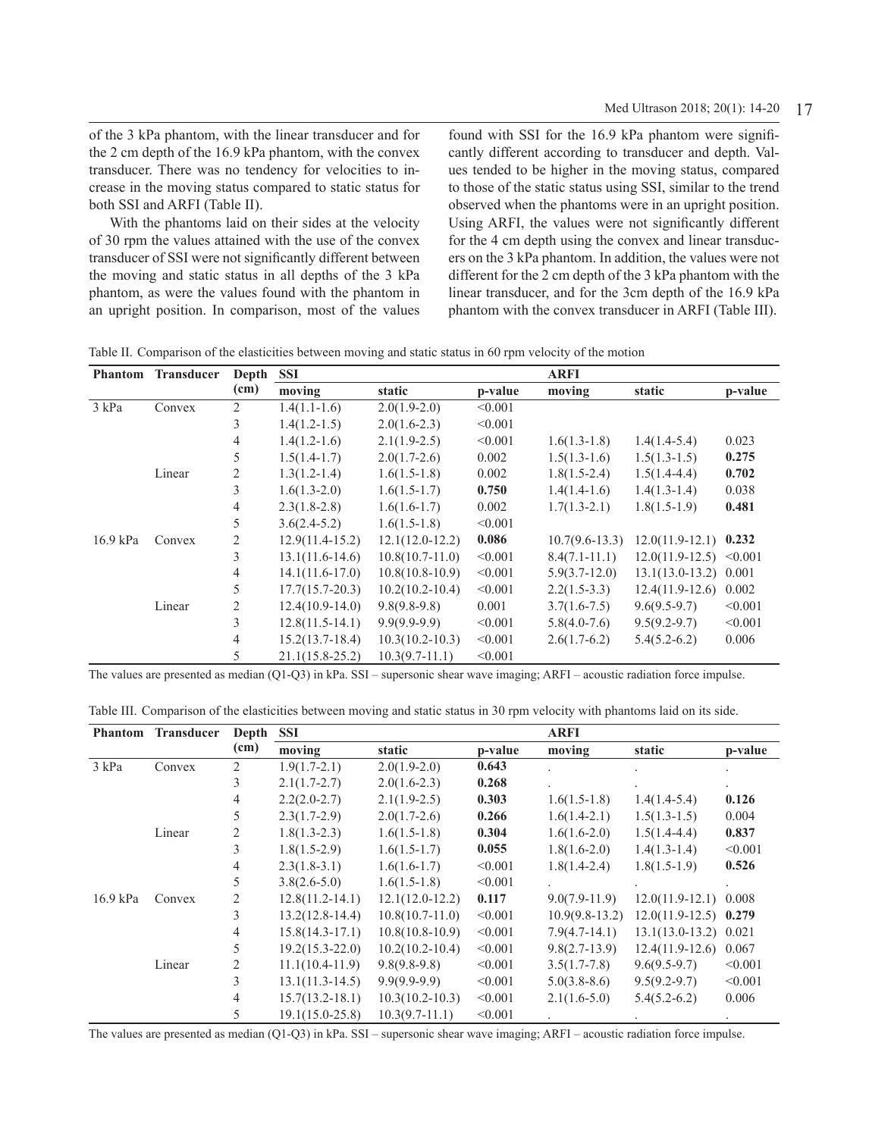of the 3 kPa phantom, with the linear transducer and for the 2 cm depth of the 16.9 kPa phantom, with the convex transducer. There was no tendency for velocities to increase in the moving status compared to static status for both SSI and ARFI (Table II).

With the phantoms laid on their sides at the velocity of 30 rpm the values attained with the use of the convex transducer of SSI were not significantly different between the moving and static status in all depths of the 3 kPa phantom, as were the values found with the phantom in an upright position. In comparison, most of the values

found with SSI for the 16.9 kPa phantom were significantly different according to transducer and depth. Values tended to be higher in the moving status, compared to those of the static status using SSI, similar to the trend observed when the phantoms were in an upright position. Using ARFI, the values were not significantly different for the 4 cm depth using the convex and linear transducers on the 3 kPa phantom. In addition, the values were not different for the 2 cm depth of the 3 kPa phantom with the linear transducer, and for the 3cm depth of the 16.9 kPa phantom with the convex transducer in ARFI (Table III).

Table II. Comparison of the elasticities between moving and static status in 60 rpm velocity of the motion

| <b>Phantom</b> | <b>Transducer</b> | Depth          | SSI                 |                     |         | <b>ARFI</b>        |                           |         |
|----------------|-------------------|----------------|---------------------|---------------------|---------|--------------------|---------------------------|---------|
|                |                   | (cm)           | moving              | static              | p-value | moving             | static                    | p-value |
| 3 kPa          | Convex            | $\overline{2}$ | $1.4(1.1-1.6)$      | $2.0(1.9-2.0)$      | < 0.001 |                    |                           |         |
|                |                   | 3              | $1.4(1.2-1.5)$      | $2.0(1.6-2.3)$      | < 0.001 |                    |                           |         |
|                |                   | 4              | $1.4(1.2-1.6)$      | $2.1(1.9-2.5)$      | < 0.001 | $1.6(1.3-1.8)$     | $1.4(1.4-5.4)$            | 0.023   |
|                |                   | 5              | $1.5(1.4-1.7)$      | $2.0(1.7-2.6)$      | 0.002   | $1.5(1.3-1.6)$     | $1.5(1.3-1.5)$            | 0.275   |
|                | Linear            | $\overline{c}$ | $1.3(1.2-1.4)$      | $1.6(1.5-1.8)$      | 0.002   | $1.8(1.5-2.4)$     | $1.5(1.4-4.4)$            | 0.702   |
|                |                   | 3              | $1.6(1.3-2.0)$      | $1.6(1.5-1.7)$      | 0.750   | $1.4(1.4-1.6)$     | $1.4(1.3-1.4)$            | 0.038   |
|                |                   | 4              | $2.3(1.8-2.8)$      | $1.6(1.6-1.7)$      | 0.002   | $1.7(1.3-2.1)$     | $1.8(1.5-1.9)$            | 0.481   |
|                |                   | 5              | $3.6(2.4-5.2)$      | $1.6(1.5-1.8)$      | < 0.001 |                    |                           |         |
| 16.9 kPa       | Convex            | 2              | $12.9(11.4-15.2)$   | $12.1(12.0-12.2)$   | 0.086   | $10.7(9.6 - 13.3)$ | $12.0(11.9-12.1)$ 0.232   |         |
|                |                   | 3              | $13.1(11.6-14.6)$   | $10.8(10.7-11.0)$   | < 0.001 | $8.4(7.1-11.1)$    | $12.0(11.9-12.5)$ < 0.001 |         |
|                |                   | 4              | $14.1(11.6-17.0)$   | $10.8(10.8-10.9)$   | < 0.001 | $5.9(3.7-12.0)$    | $13.1(13.0-13.2)$ 0.001   |         |
|                |                   | 5              | $17.7(15.7 - 20.3)$ | $10.2(10.2 - 10.4)$ | < 0.001 | $2.2(1.5-3.3)$     | $12.4(11.9-12.6)$ 0.002   |         |
|                | Linear            | 2              | $12.4(10.9-14.0)$   | $9.8(9.8-9.8)$      | 0.001   | $3.7(1.6 - 7.5)$   | $9.6(9.5-9.7)$            | < 0.001 |
|                |                   | 3              | $12.8(11.5-14.1)$   | $9.9(9.9-9.9)$      | < 0.001 | $5.8(4.0-7.6)$     | $9.5(9.2-9.7)$            | < 0.001 |
|                |                   | $\overline{4}$ | $15.2(13.7-18.4)$   | $10.3(10.2 - 10.3)$ | < 0.001 | $2.6(1.7-6.2)$     | $5.4(5.2-6.2)$            | 0.006   |
|                |                   | 5              | $21.1(15.8-25.2)$   | $10.3(9.7-11.1)$    | < 0.001 |                    |                           |         |

The values are presented as median (Q1-Q3) in kPa. SSI – supersonic shear wave imaging; ARFI – acoustic radiation force impulse.

|  | Table III. Comparison of the elasticities between moving and static status in 30 rpm velocity with phantoms laid on its side. |  |  |  |  |
|--|-------------------------------------------------------------------------------------------------------------------------------|--|--|--|--|
|--|-------------------------------------------------------------------------------------------------------------------------------|--|--|--|--|

| <b>Phantom</b> | <b>Transducer</b> | Depth          | <b>SSI</b>          |                     |         | <b>ARFI</b>      |                         |         |
|----------------|-------------------|----------------|---------------------|---------------------|---------|------------------|-------------------------|---------|
|                |                   | (cm)           | moving              | static              | p-value | moving           | static                  | p-value |
| 3 kPa          | Convex            | $\overline{2}$ | $1.9(1.7-2.1)$      | $2.0(1.9-2.0)$      | 0.643   |                  |                         |         |
|                |                   | 3              | $2.1(1.7-2.7)$      | $2.0(1.6-2.3)$      | 0.268   |                  |                         |         |
|                |                   | $\overline{4}$ | $2.2(2.0-2.7)$      | $2.1(1.9-2.5)$      | 0.303   | $1.6(1.5-1.8)$   | $1.4(1.4-5.4)$          | 0.126   |
|                |                   | 5              | $2.3(1.7-2.9)$      | $2.0(1.7-2.6)$      | 0.266   | $1.6(1.4-2.1)$   | $1.5(1.3-1.5)$          | 0.004   |
|                | Linear            | 2              | $1.8(1.3-2.3)$      | $1.6(1.5-1.8)$      | 0.304   | $1.6(1.6-2.0)$   | $1.5(1.4-4.4)$          | 0.837   |
|                |                   | 3              | $1.8(1.5-2.9)$      | $1.6(1.5-1.7)$      | 0.055   | $1.8(1.6-2.0)$   | $1.4(1.3-1.4)$          | < 0.001 |
|                |                   | $\overline{4}$ | $2.3(1.8-3.1)$      | $1.6(1.6-1.7)$      | < 0.001 | $1.8(1.4-2.4)$   | $1.8(1.5-1.9)$          | 0.526   |
|                |                   | 5              | $3.8(2.6-5.0)$      | $1.6(1.5-1.8)$      | < 0.001 |                  |                         |         |
| 16.9 kPa       | Convex            | $\overline{2}$ | $12.8(11.2 - 14.1)$ | $12.1(12.0-12.2)$   | 0.117   | $9.0(7.9-11.9)$  | $12.0(11.9-12.1)$ 0.008 |         |
|                |                   | 3              | $13.2(12.8-14.4)$   | $10.8(10.7-11.0)$   | < 0.001 | $10.9(9.8-13.2)$ | $12.0(11.9-12.5)$ 0.279 |         |
|                |                   | $\overline{4}$ | $15.8(14.3 - 17.1)$ | $10.8(10.8-10.9)$   | < 0.001 | $7.9(4.7-14.1)$  | 13.1(13.0-13.2) 0.021   |         |
|                |                   | 5              | $19.2(15.3 - 22.0)$ | $10.2(10.2 - 10.4)$ | < 0.001 | $9.8(2.7-13.9)$  | $12.4(11.9-12.6)$       | 0.067   |
|                | Linear            | 2              | $11.1(10.4-11.9)$   | $9.8(9.8-9.8)$      | < 0.001 | $3.5(1.7-7.8)$   | $9.6(9.5-9.7)$          | < 0.001 |
|                |                   | 3              | $13.1(11.3-14.5)$   | $9.9(9.9-9.9)$      | < 0.001 | $5.0(3.8-8.6)$   | $9.5(9.2-9.7)$          | < 0.001 |
|                |                   | $\overline{4}$ | $15.7(13.2 - 18.1)$ | $10.3(10.2 - 10.3)$ | < 0.001 | $2.1(1.6-5.0)$   | $5.4(5.2-6.2)$          | 0.006   |
|                |                   | 5              | $19.1(15.0 - 25.8)$ | $10.3(9.7-11.1)$    | < 0.001 |                  |                         |         |

The values are presented as median (Q1-Q3) in kPa. SSI – supersonic shear wave imaging; ARFI – acoustic radiation force impulse.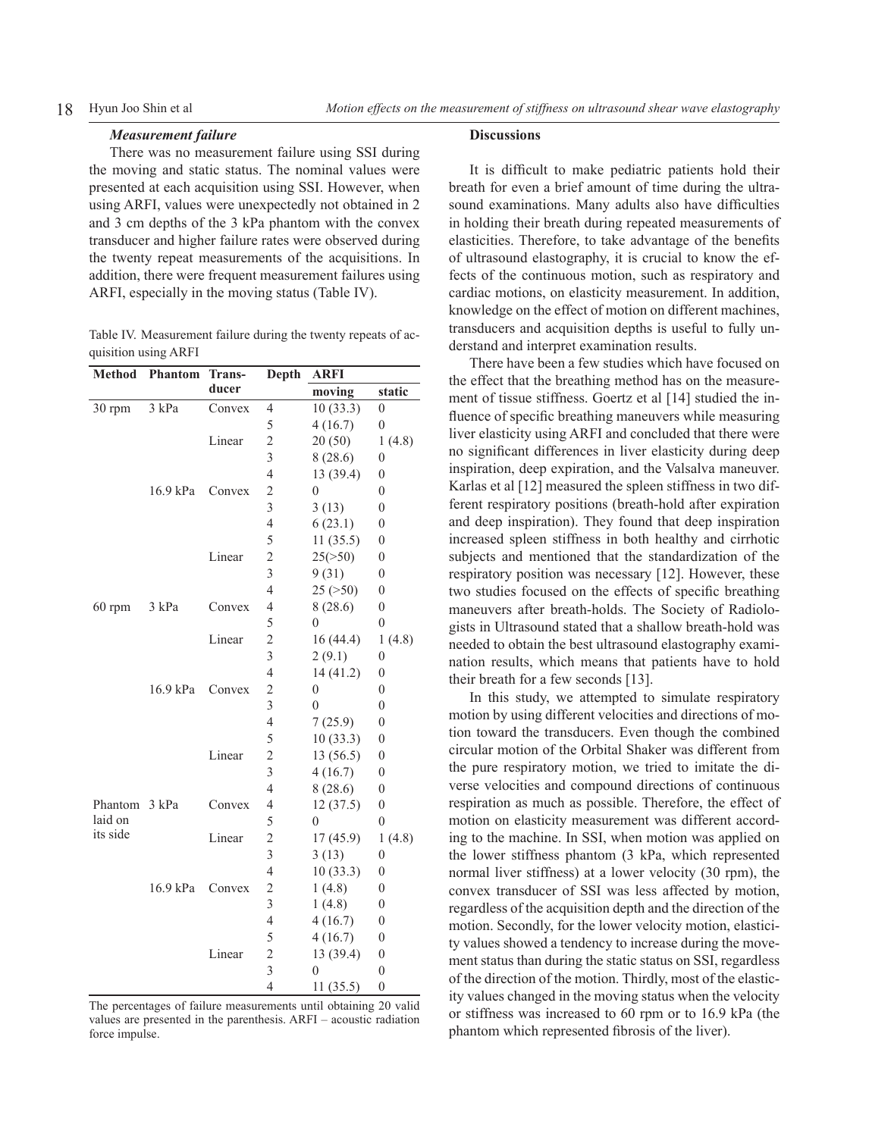#### *Measurement failure*

There was no measurement failure using SSI during the moving and static status. The nominal values were presented at each acquisition using SSI. However, when using ARFI, values were unexpectedly not obtained in 2 and 3 cm depths of the 3 kPa phantom with the convex transducer and higher failure rates were observed during the twenty repeat measurements of the acquisitions. In addition, there were frequent measurement failures using ARFI, especially in the moving status (Table IV).

Table IV. Measurement failure during the twenty repeats of acquisition using ARFI

| <b>Method</b> | <b>Phantom</b> | Trans- | Depth                   | <b>ARFI</b>      |                  |  |
|---------------|----------------|--------|-------------------------|------------------|------------------|--|
|               |                | ducer  |                         | moving           | static           |  |
| 30 rpm        | 3 kPa          | Convex | 4                       | 10(33.3)         | $\boldsymbol{0}$ |  |
|               |                |        | 5                       | 4(16.7)          | $\boldsymbol{0}$ |  |
|               |                | Linear | $\overline{c}$          | 20(50)           | 1(4.8)           |  |
|               |                |        | 3                       | 8(28.6)          | $\boldsymbol{0}$ |  |
|               |                |        | $\overline{4}$          | 13 (39.4)        | $\boldsymbol{0}$ |  |
|               | 16.9 kPa       | Convex | $\overline{c}$          | $\overline{0}$   | $\boldsymbol{0}$ |  |
|               |                |        | $\overline{\mathbf{3}}$ | 3(13)            | $\overline{0}$   |  |
|               |                |        | $\overline{4}$          | 6(23.1)          | $\boldsymbol{0}$ |  |
|               |                |        | 5                       | 11(35.5)         | $\boldsymbol{0}$ |  |
|               |                | Linear | $\overline{c}$          | 25(>50)          | $\boldsymbol{0}$ |  |
|               |                |        | 3                       | 9(31)            | $\mathbf{0}$     |  |
|               |                |        | $\overline{4}$          | 25 (>50)         | $\boldsymbol{0}$ |  |
| $60$ rpm      | 3 kPa          | Convex | $\overline{4}$          | 8(28.6)          | $\overline{0}$   |  |
|               |                |        | 5                       | $\theta$         | $\overline{0}$   |  |
|               |                | Linear | $\overline{c}$          | 16(44.4)         | 1(4.8)           |  |
|               |                |        | 3                       | 2(9.1)           | 0                |  |
|               |                |        | $\overline{4}$          | 14(41.2)         | $\overline{0}$   |  |
|               | 16.9 kPa       | Convex | $\overline{c}$          | $\overline{0}$   | $\overline{0}$   |  |
|               |                |        | $\overline{3}$          | $\overline{0}$   | $\overline{0}$   |  |
|               |                |        | $\overline{4}$          | 7(25.9)          | $\overline{0}$   |  |
|               |                |        | 5                       | 10(33.3)         | $\boldsymbol{0}$ |  |
|               |                | Linear | $\overline{c}$          | 13 (56.5)        | $\boldsymbol{0}$ |  |
|               |                |        | 3                       | 4(16.7)          | $\boldsymbol{0}$ |  |
|               |                |        | $\overline{4}$          | 8(28.6)          | $\boldsymbol{0}$ |  |
| Phantom       | 3 kPa          | Convex | $\overline{4}$          | 12(37.5)         | $\boldsymbol{0}$ |  |
| laid on       |                |        | 5                       | $\overline{0}$   | $\boldsymbol{0}$ |  |
| its side      |                | Linear | $\overline{c}$          | 17 (45.9)        | 1(4.8)           |  |
|               |                |        | 3                       | 3(13)            | $\overline{0}$   |  |
|               |                |        | $\overline{4}$          | 10(33.3)         | $\overline{0}$   |  |
|               | 16.9 kPa       | Convex | $\overline{c}$          | 1(4.8)           | $\overline{0}$   |  |
|               |                |        | 3                       | 1(4.8)           | $\overline{0}$   |  |
|               |                |        | $\overline{4}$          | 4(16.7)          | $\boldsymbol{0}$ |  |
|               |                |        | 5                       | 4(16.7)          | $\boldsymbol{0}$ |  |
|               |                | Linear | $\overline{c}$          | 13 (39.4)        | $\boldsymbol{0}$ |  |
|               |                |        | $\overline{3}$          | $\boldsymbol{0}$ | $\overline{0}$   |  |
|               |                |        | $\overline{4}$          | 11(35.5)         | $\boldsymbol{0}$ |  |

The percentages of failure measurements until obtaining 20 valid values are presented in the parenthesis. ARFI – acoustic radiation force impulse.

#### **Discussions**

It is difficult to make pediatric patients hold their breath for even a brief amount of time during the ultrasound examinations. Many adults also have difficulties in holding their breath during repeated measurements of elasticities. Therefore, to take advantage of the benefits of ultrasound elastography, it is crucial to know the effects of the continuous motion, such as respiratory and cardiac motions, on elasticity measurement. In addition, knowledge on the effect of motion on different machines, transducers and acquisition depths is useful to fully understand and interpret examination results.

There have been a few studies which have focused on the effect that the breathing method has on the measurement of tissue stiffness. Goertz et al [14] studied the influence of specific breathing maneuvers while measuring liver elasticity using ARFI and concluded that there were no significant differences in liver elasticity during deep inspiration, deep expiration, and the Valsalva maneuver. Karlas et al [12] measured the spleen stiffness in two different respiratory positions (breath-hold after expiration and deep inspiration). They found that deep inspiration increased spleen stiffness in both healthy and cirrhotic subjects and mentioned that the standardization of the respiratory position was necessary [12]. However, these two studies focused on the effects of specific breathing maneuvers after breath-holds. The Society of Radiologists in Ultrasound stated that a shallow breath-hold was needed to obtain the best ultrasound elastography examination results, which means that patients have to hold their breath for a few seconds [13].

In this study, we attempted to simulate respiratory motion by using different velocities and directions of motion toward the transducers. Even though the combined circular motion of the Orbital Shaker was different from the pure respiratory motion, we tried to imitate the diverse velocities and compound directions of continuous respiration as much as possible. Therefore, the effect of motion on elasticity measurement was different according to the machine. In SSI, when motion was applied on the lower stiffness phantom (3 kPa, which represented normal liver stiffness) at a lower velocity (30 rpm), the convex transducer of SSI was less affected by motion, regardless of the acquisition depth and the direction of the motion. Secondly, for the lower velocity motion, elasticity values showed a tendency to increase during the movement status than during the static status on SSI, regardless of the direction of the motion. Thirdly, most of the elasticity values changed in the moving status when the velocity or stiffness was increased to 60 rpm or to 16.9 kPa (the phantom which represented fibrosis of the liver).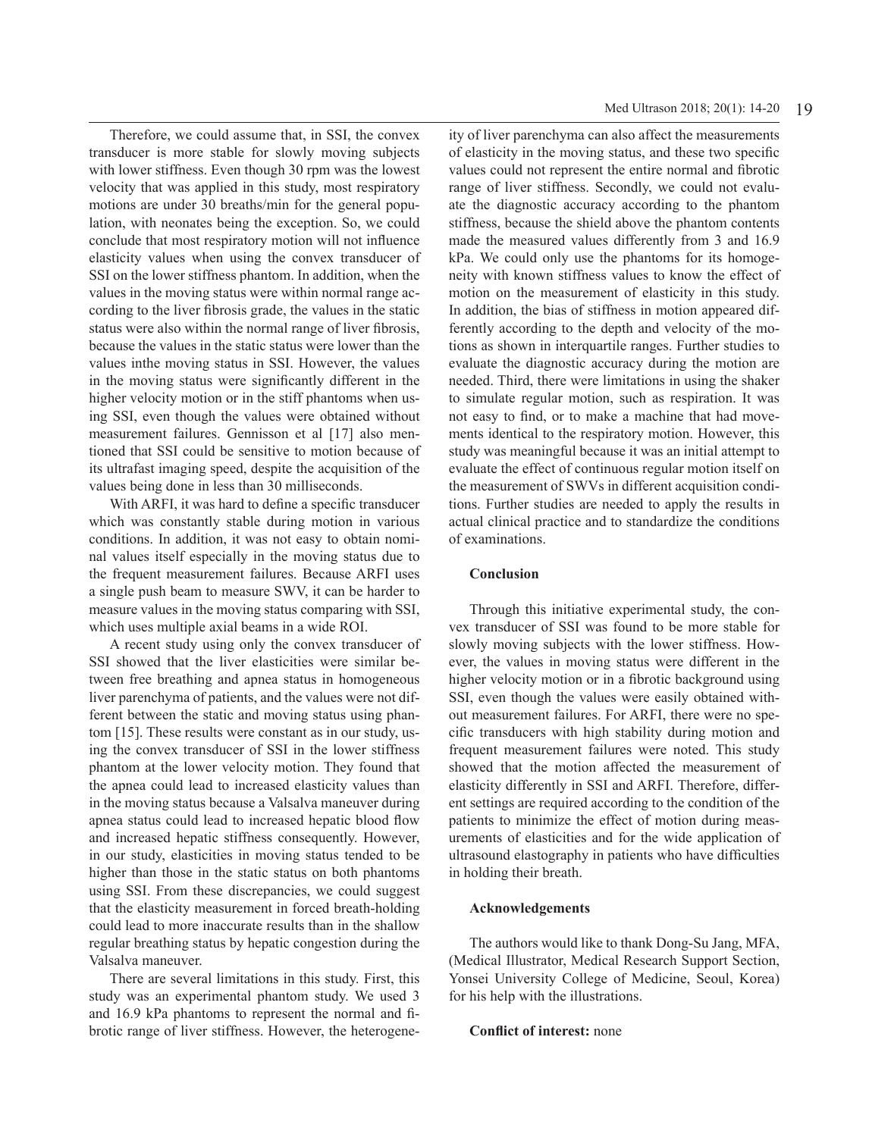Therefore, we could assume that, in SSI, the convex transducer is more stable for slowly moving subjects with lower stiffness. Even though 30 rpm was the lowest velocity that was applied in this study, most respiratory motions are under 30 breaths/min for the general population, with neonates being the exception. So, we could conclude that most respiratory motion will not influence elasticity values when using the convex transducer of SSI on the lower stiffness phantom. In addition, when the values in the moving status were within normal range according to the liver fibrosis grade, the values in the static status were also within the normal range of liver fibrosis, because the values in the static status were lower than the values inthe moving status in SSI. However, the values in the moving status were significantly different in the higher velocity motion or in the stiff phantoms when using SSI, even though the values were obtained without measurement failures. Gennisson et al [17] also mentioned that SSI could be sensitive to motion because of its ultrafast imaging speed, despite the acquisition of the values being done in less than 30 milliseconds.

With ARFI, it was hard to define a specific transducer which was constantly stable during motion in various conditions. In addition, it was not easy to obtain nominal values itself especially in the moving status due to the frequent measurement failures. Because ARFI uses a single push beam to measure SWV, it can be harder to measure values in the moving status comparing with SSI, which uses multiple axial beams in a wide ROI.

A recent study using only the convex transducer of SSI showed that the liver elasticities were similar between free breathing and apnea status in homogeneous liver parenchyma of patients, and the values were not different between the static and moving status using phantom [15]. These results were constant as in our study, using the convex transducer of SSI in the lower stiffness phantom at the lower velocity motion. They found that the apnea could lead to increased elasticity values than in the moving status because a Valsalva maneuver during apnea status could lead to increased hepatic blood flow and increased hepatic stiffness consequently. However, in our study, elasticities in moving status tended to be higher than those in the static status on both phantoms using SSI. From these discrepancies, we could suggest that the elasticity measurement in forced breath-holding could lead to more inaccurate results than in the shallow regular breathing status by hepatic congestion during the Valsalva maneuver.

There are several limitations in this study. First, this study was an experimental phantom study. We used 3 and 16.9 kPa phantoms to represent the normal and fibrotic range of liver stiffness. However, the heterogene-

ity of liver parenchyma can also affect the measurements of elasticity in the moving status, and these two specific values could not represent the entire normal and fibrotic range of liver stiffness. Secondly, we could not evaluate the diagnostic accuracy according to the phantom stiffness, because the shield above the phantom contents made the measured values differently from 3 and 16.9 kPa. We could only use the phantoms for its homogeneity with known stiffness values to know the effect of motion on the measurement of elasticity in this study. In addition, the bias of stiffness in motion appeared differently according to the depth and velocity of the motions as shown in interquartile ranges. Further studies to evaluate the diagnostic accuracy during the motion are needed. Third, there were limitations in using the shaker to simulate regular motion, such as respiration. It was not easy to find, or to make a machine that had movements identical to the respiratory motion. However, this study was meaningful because it was an initial attempt to evaluate the effect of continuous regular motion itself on the measurement of SWVs in different acquisition conditions. Further studies are needed to apply the results in actual clinical practice and to standardize the conditions of examinations.

# **Conclusion**

Through this initiative experimental study, the convex transducer of SSI was found to be more stable for slowly moving subjects with the lower stiffness. However, the values in moving status were different in the higher velocity motion or in a fibrotic background using SSI, even though the values were easily obtained without measurement failures. For ARFI, there were no specific transducers with high stability during motion and frequent measurement failures were noted. This study showed that the motion affected the measurement of elasticity differently in SSI and ARFI. Therefore, different settings are required according to the condition of the patients to minimize the effect of motion during measurements of elasticities and for the wide application of ultrasound elastography in patients who have difficulties in holding their breath.

# **Acknowledgements**

The authors would like to thank Dong-Su Jang, MFA, (Medical Illustrator, Medical Research Support Section, Yonsei University College of Medicine, Seoul, Korea) for his help with the illustrations.

# **Conflict of interest:** none